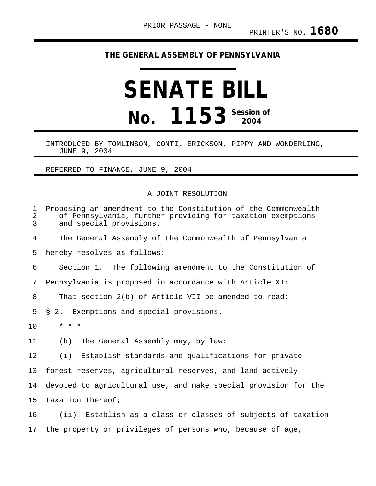## **THE GENERAL ASSEMBLY OF PENNSYLVANIA**

## **SENATE BILL No. 1153** Session of

INTRODUCED BY TOMLINSON, CONTI, ERICKSON, PIPPY AND WONDERLING, JUNE 9, 2004

REFERRED TO FINANCE, JUNE 9, 2004

## A JOINT RESOLUTION

| $\mathbf 1$<br>$\sqrt{2}$<br>3 | Proposing an amendment to the Constitution of the Commonwealth<br>of Pennsylvania, further providing for taxation exemptions<br>and special provisions. |
|--------------------------------|---------------------------------------------------------------------------------------------------------------------------------------------------------|
| $\overline{4}$                 | The General Assembly of the Commonwealth of Pennsylvania                                                                                                |
| 5                              | hereby resolves as follows:                                                                                                                             |
| 6                              | Section 1. The following amendment to the Constitution of                                                                                               |
| 7                              | Pennsylvania is proposed in accordance with Article XI:                                                                                                 |
| 8                              | That section 2(b) of Article VII be amended to read:                                                                                                    |
| 9                              | § 2. Exemptions and special provisions.                                                                                                                 |
| 10                             | $\star$ $\star$ $\star$                                                                                                                                 |
| 11                             | The General Assembly may, by law:<br>(b)                                                                                                                |
| 12                             | (i) Establish standards and qualifications for private                                                                                                  |
| 13                             | forest reserves, agricultural reserves, and land actively                                                                                               |
| 14                             | devoted to agricultural use, and make special provision for the                                                                                         |
| 15                             | taxation thereof;                                                                                                                                       |
| 16                             | (ii) Establish as a class or classes of subjects of taxation                                                                                            |
| 17                             | the property or privileges of persons who, because of age,                                                                                              |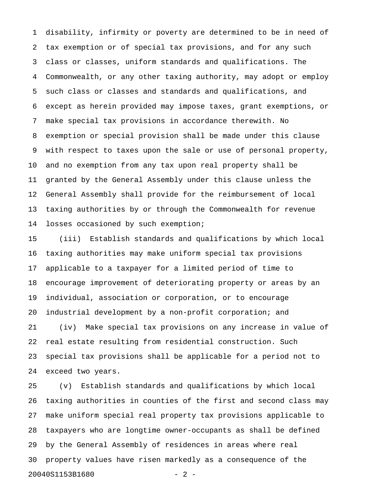1 disability, infirmity or poverty are determined to be in need of 2 tax exemption or of special tax provisions, and for any such 3 class or classes, uniform standards and qualifications. The 4 Commonwealth, or any other taxing authority, may adopt or employ 5 such class or classes and standards and qualifications, and 6 except as herein provided may impose taxes, grant exemptions, or 7 make special tax provisions in accordance therewith. No 8 exemption or special provision shall be made under this clause 9 with respect to taxes upon the sale or use of personal property, 10 and no exemption from any tax upon real property shall be 11 granted by the General Assembly under this clause unless the 12 General Assembly shall provide for the reimbursement of local 13 taxing authorities by or through the Commonwealth for revenue 14 losses occasioned by such exemption;

15 (iii) Establish standards and qualifications by which local 16 taxing authorities may make uniform special tax provisions 17 applicable to a taxpayer for a limited period of time to 18 encourage improvement of deteriorating property or areas by an 19 individual, association or corporation, or to encourage 20 industrial development by a non-profit corporation; and 21 (iv) Make special tax provisions on any increase in value of 22 real estate resulting from residential construction. Such 23 special tax provisions shall be applicable for a period not to 24 exceed two years.

25 (v) Establish standards and qualifications by which local 26 taxing authorities in counties of the first and second class may 27 make uniform special real property tax provisions applicable to 28 taxpayers who are longtime owner-occupants as shall be defined 29 by the General Assembly of residences in areas where real 30 property values have risen markedly as a consequence of the 20040S1153B1680 - 2 -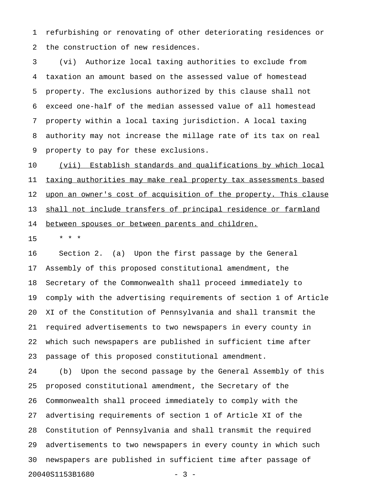1 refurbishing or renovating of other deteriorating residences or 2 the construction of new residences.

3 (vi) Authorize local taxing authorities to exclude from 4 taxation an amount based on the assessed value of homestead 5 property. The exclusions authorized by this clause shall not 6 exceed one-half of the median assessed value of all homestead 7 property within a local taxing jurisdiction. A local taxing 8 authority may not increase the millage rate of its tax on real 9 property to pay for these exclusions.

10 (vii) Establish standards and qualifications by which local 11 taxing authorities may make real property tax assessments based 12 upon an owner's cost of acquisition of the property. This clause 13 shall not include transfers of principal residence or farmland 14 between spouses or between parents and children.

15 \* \* \*

16 Section 2. (a) Upon the first passage by the General 17 Assembly of this proposed constitutional amendment, the 18 Secretary of the Commonwealth shall proceed immediately to 19 comply with the advertising requirements of section 1 of Article 20 XI of the Constitution of Pennsylvania and shall transmit the 21 required advertisements to two newspapers in every county in 22 which such newspapers are published in sufficient time after 23 passage of this proposed constitutional amendment.

24 (b) Upon the second passage by the General Assembly of this 25 proposed constitutional amendment, the Secretary of the 26 Commonwealth shall proceed immediately to comply with the 27 advertising requirements of section 1 of Article XI of the 28 Constitution of Pennsylvania and shall transmit the required 29 advertisements to two newspapers in every county in which such 30 newspapers are published in sufficient time after passage of 20040S1153B1680 - 3 -